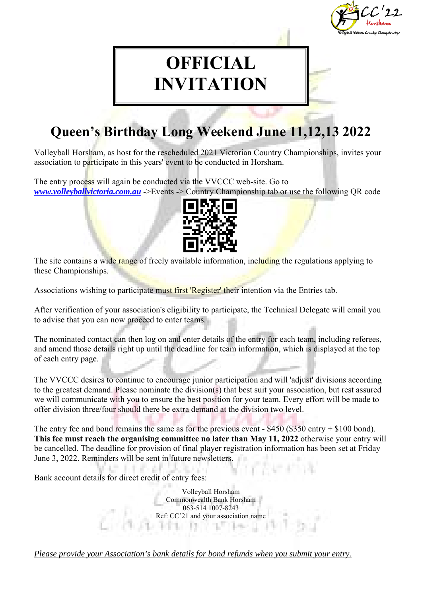

# **OFFICIAL INVITATION**

## **Queen's Birthday Long Weekend June 11,12,13 2022**

Volleyball Horsham, as host for the rescheduled 2021 Victorian Country Championships, invites your association to participate in this years' event to be conducted in Horsham.

The entry process will again be conducted via the VVCCC web-site. Go to *www.volleyballvictoria.com.au* ->Events -> Country Championship tab or use the following QR code



The site contains a wide range of freely available information, including the regulations applying to these Championships.

Associations wishing to participate must first 'Register' their intention via the Entries tab.

After verification of your association's eligibility to participate, the Technical Delegate will email you to advise that you can now proceed to enter teams.

The nominated contact can then log on and enter details of the entry for each team, including referees, and amend those details right up until the deadline for team information, which is displayed at the top of each entry page.

The VVCCC desires to continue to encourage junior participation and will 'adjust' divisions according to the greatest demand. Please nominate the division(s) that best suit your association, but rest assured we will communicate with you to ensure the best position for your team. Every effort will be made to offer division three/four should there be extra demand at the division two level.

The entry fee and bond remains the same as for the previous event - \$450 (\$350 entry + \$100 bond). **This fee must reach the organising committee no later than May 11, 2022** otherwise your entry will be cancelled. The deadline for provision of final player registration information has been set at Friday June 3, 2022. Reminders will be sent in future newsletters.

Bank account details for direct credit of entry fees:

Volleyball Horsham Commonwealth Bank Horsham 063-514 1007-8243 Ref: CC'21 and your association name

*Please provide your Association's bank details for bond refunds when you submit your entry.*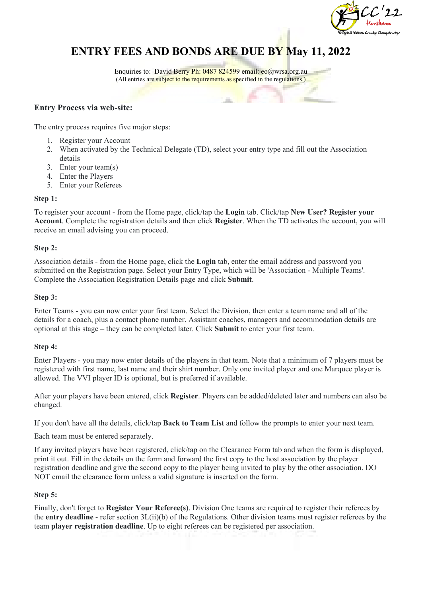

### **ENTRY FEES AND BONDS ARE DUE BY May 11, 2022**

Enquiries to: David Berry Ph: 0487 824599 email: eo@wrsa.org.au (All entries are subject to the requirements as specified in the regulations.)

#### **Entry Process via web-site:**

The entry process requires five major steps:

- 1. Register your Account
- 2. When activated by the Technical Delegate (TD), select your entry type and fill out the Association details
- 3. Enter your team(s)
- 4. Enter the Players
- 5. Enter your Referees

#### **Step 1:**

To register your account - from the Home page, click/tap the **Login** tab. Click/tap **New User? Register your Account**. Complete the registration details and then click **Register**. When the TD activates the account, you will receive an email advising you can proceed.

#### **Step 2:**

Association details - from the Home page, click the **Login** tab, enter the email address and password you submitted on the Registration page. Select your Entry Type, which will be 'Association - Multiple Teams'. Complete the Association Registration Details page and click **Submit**.

#### **Step 3:**

Enter Teams - you can now enter your first team. Select the Division, then enter a team name and all of the details for a coach, plus a contact phone number. Assistant coaches, managers and accommodation details are optional at this stage – they can be completed later. Click **Submit** to enter your first team.

#### **Step 4:**

Enter Players - you may now enter details of the players in that team. Note that a minimum of 7 players must be registered with first name, last name and their shirt number. Only one invited player and one Marquee player is allowed. The VVI player ID is optional, but is preferred if available.

After your players have been entered, click **Register**. Players can be added/deleted later and numbers can also be changed.

If you don't have all the details, click/tap **Back to Team List** and follow the prompts to enter your next team.

Each team must be entered separately.

If any invited players have been registered, click/tap on the Clearance Form tab and when the form is displayed, print it out. Fill in the details on the form and forward the first copy to the host association by the player registration deadline and give the second copy to the player being invited to play by the other association. DO NOT email the clearance form unless a valid signature is inserted on the form.

#### **Step 5:**

Finally, don't forget to **Register Your Referee(s)**. Division One teams are required to register their referees by the **entry deadline** - refer section 3L(ii)(b) of the Regulations. Other division teams must register referees by the team **player registration deadline**. Up to eight referees can be registered per association.